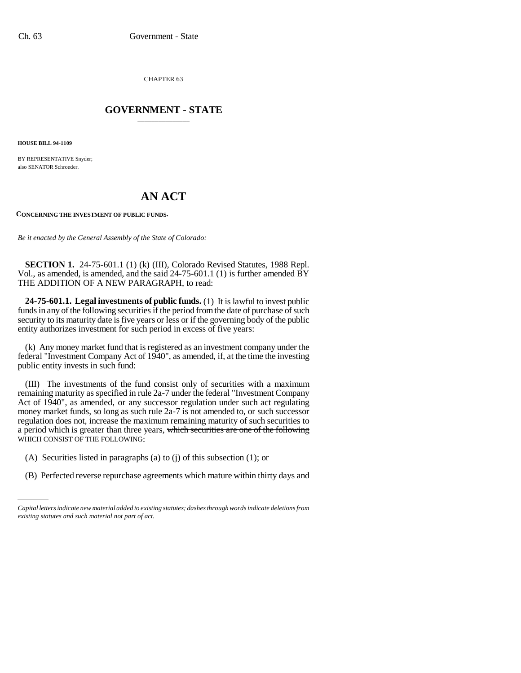CHAPTER 63

## \_\_\_\_\_\_\_\_\_\_\_\_\_\_\_ **GOVERNMENT - STATE** \_\_\_\_\_\_\_\_\_\_\_\_\_\_\_

**HOUSE BILL 94-1109**

BY REPRESENTATIVE Snyder; also SENATOR Schroeder.

## **AN ACT**

**CONCERNING THE INVESTMENT OF PUBLIC FUNDS.**

*Be it enacted by the General Assembly of the State of Colorado:*

**SECTION 1.** 24-75-601.1 (1) (k) (III), Colorado Revised Statutes, 1988 Repl. Vol., as amended, is amended, and the said 24-75-601.1 (1) is further amended BY THE ADDITION OF A NEW PARAGRAPH, to read:

**24-75-601.1. Legal investments of public funds.** (1) It is lawful to invest public funds in any of the following securities if the period from the date of purchase of such security to its maturity date is five years or less or if the governing body of the public entity authorizes investment for such period in excess of five years:

(k) Any money market fund that is registered as an investment company under the federal "Investment Company Act of 1940", as amended, if, at the time the investing public entity invests in such fund:

(III) The investments of the fund consist only of securities with a maximum remaining maturity as specified in rule 2a-7 under the federal "Investment Company Act of 1940", as amended, or any successor regulation under such act regulating money market funds, so long as such rule 2a-7 is not amended to, or such successor regulation does not, increase the maximum remaining maturity of such securities to a period which is greater than three years, which securities are one of the following WHICH CONSIST OF THE FOLLOWING:

- (A) Securities listed in paragraphs (a) to (j) of this subsection (1); or
- (B) Perfected reverse repurchase agreements which mature within thirty days and

*Capital letters indicate new material added to existing statutes; dashes through words indicate deletions from existing statutes and such material not part of act.*